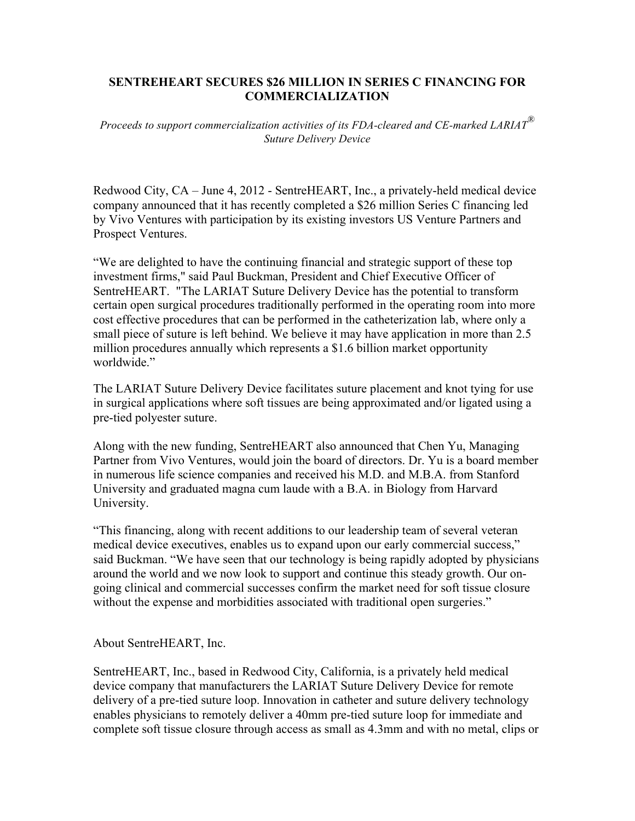## **SENTREHEART SECURES \$26 MILLION IN SERIES C FINANCING FOR COMMERCIALIZATION**

*Proceeds to support commercialization activities of its FDA-cleared and CE-marked LARIAT® Suture Delivery Device*

Redwood City, CA – June 4, 2012 - SentreHEART, Inc., a privately-held medical device company announced that it has recently completed a \$26 million Series C financing led by Vivo Ventures with participation by its existing investors US Venture Partners and Prospect Ventures.

"We are delighted to have the continuing financial and strategic support of these top investment firms," said Paul Buckman, President and Chief Executive Officer of SentreHEART. "The LARIAT Suture Delivery Device has the potential to transform certain open surgical procedures traditionally performed in the operating room into more cost effective procedures that can be performed in the catheterization lab, where only a small piece of suture is left behind. We believe it may have application in more than 2.5 million procedures annually which represents a \$1.6 billion market opportunity worldwide."

The LARIAT Suture Delivery Device facilitates suture placement and knot tying for use in surgical applications where soft tissues are being approximated and/or ligated using a pre-tied polyester suture.

Along with the new funding, SentreHEART also announced that Chen Yu, Managing Partner from Vivo Ventures, would join the board of directors. Dr. Yu is a board member in numerous life science companies and received his M.D. and M.B.A. from Stanford University and graduated magna cum laude with a B.A. in Biology from Harvard University.

"This financing, along with recent additions to our leadership team of several veteran medical device executives, enables us to expand upon our early commercial success," said Buckman. "We have seen that our technology is being rapidly adopted by physicians around the world and we now look to support and continue this steady growth. Our ongoing clinical and commercial successes confirm the market need for soft tissue closure without the expense and morbidities associated with traditional open surgeries."

About SentreHEART, Inc.

SentreHEART, Inc., based in Redwood City, California, is a privately held medical device company that manufacturers the LARIAT Suture Delivery Device for remote delivery of a pre-tied suture loop. Innovation in catheter and suture delivery technology enables physicians to remotely deliver a 40mm pre-tied suture loop for immediate and complete soft tissue closure through access as small as 4.3mm and with no metal, clips or